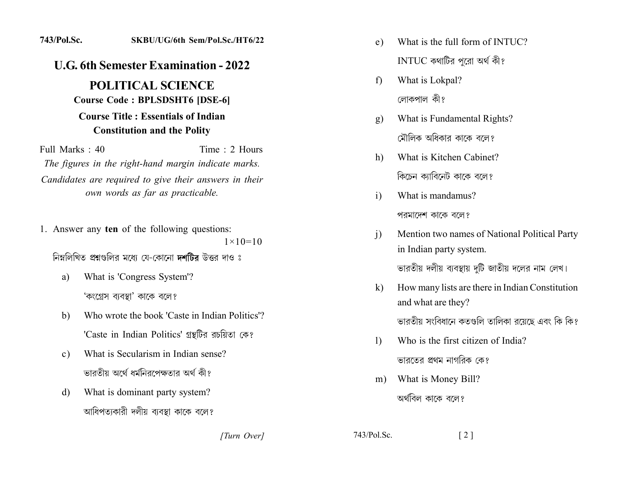## 743/Pol.Sc. SKBU/UG/6th Sem/Pol.Sc./HT6/22

## **U.G. 6th Semester Examination - 2022**

## **POLITICAL SCIENCE Course Code: BPLSDSHT6 [DSE-6]**

## **Course Title: Essentials of Indian Constitution and the Polity**

Full Marks  $\cdot$  40 Time  $\cdot$  2 Hours

The figures in the right-hand margin indicate marks. Candidates are required to give their answers in their own words as far as practicable.

1. Answer any ten of the following questions:

 $1 \times 10 = 10$ 

নিম্নলিখিত প্রশ্নগুলির মধ্যে যে-কোনো দশটির উত্তর দাও ঃ

- What is 'Congress System'? a) 'কংগ্ৰেস ব্যবস্থা' কাকে বলে?
- Who wrote the book 'Caste in Indian Politics'? b) 'Caste in Indian Politics' গ্রন্থটির রচয়িতা কে?
- What is Secularism in Indian sense?  $c)$ ভারতীয় অর্থে ধর্মনিরপেক্ষতার অর্থ কী?
- What is dominant party system? d) আধিপত্যকারী দলীয় ব্যবস্থা কাকে বলে?
- What is the full form of INTUC?  $e)$ INTUC কথাটির পরো অর্থ কী?
- What is Lokpal?  $f$ লোকপাল কী?
- What is Fundamental Rights?  $g)$ মৌলিক অধিকার কাকে বলে?
- What is Kitchen Cabinet? h) কিচেন ক্যাবিনেট কাকে বলে?
- What is mandamus?  $\overline{1}$ পরমাদেশ কাকে বলে?
- Mention two names of National Political Party  $\overline{1}$ in Indian party system. ভারতীয় দলীয় ব্যবস্থায় দটি জাতীয় দলের নাম লেখ।
- $\mathbf{k}$ How many lists are there in Indian Constitution and what are they?

ভারতীয় সংবিধানে কতগুলি তালিকা রয়েছে এবং কি কি?

- Who is the first citizen of India?  $\left| \right\rangle$ ভারতের প্রথম নাগরিক কে?
- What is Money Bill?  $m)$ অর্থবিল কাকে বলে?

[Turn Over]

 $743/P<sub>ol</sub>$  Sc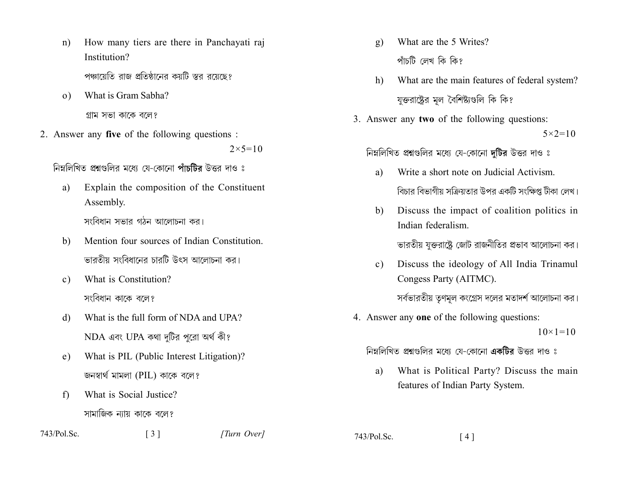- How many tiers are there in Panchayati raj  $n)$ Institution? পঞ্চায়েতি রাজ প্রতিষ্ঠানের কয়টি স্তর রয়েছে?
- What is Gram Sabha?  $\Omega$ ) গ্রাম সভা কাকে বলে?
- 2. Answer any five of the following questions :

 $2 \times 5 = 10$ 

নিম্নলিখিত প্রশ্নগুলির মধ্যে যে-কোনো পাঁচটির উত্তর দাও ঃ

- a) Explain the composition of the Constituent Assembly. সংবিধান সভার গঠন আলোচনা কর।
- Mention four sources of Indian Constitution  $h$ ভারতীয় সংবিধানের চারটি উৎস আলোচনা কর।
- What is Constitution?  $c)$ সংবিধান কাকে বলে?
- What is the full form of NDA and UPA? d)  $NDA$  এবং UPA কথা দুটির পুরো অর্থ কী?
- What is PIL (Public Interest Litigation)?  $e)$ জনস্বার্থ মামলা (PIL) কাকে বলে?

 $\lceil 3 \rceil$ 

What is Social Justice?  $f$ সামাজিক ন্যায় কাকে বলে?

 $743/Pol$ . Sc.

[Turn Over]

- What are the 5 Writes?  $g)$ পাঁচটি লেখ কি কি?
- What are the main features of federal system? h) যুক্তরাষ্ট্রের মল বৈশিষ্ট্যগুলি কি কি?
- 3. Answer any two of the following questions:  $5 \times 2 = 10$

নিম্নলিখিত প্রশ্নগুলির মধ্যে যে-কোনো দটির উত্তর দাও ঃ

- Write a short note on Judicial Activism. a) বিচার বিভাগীয় সক্রিয়তার উপর একটি সংক্ষিপ্ত টীকা লেখ।
- Discuss the impact of coalition politics in b) Indian federalism.

ভারতীয় যুক্তরাষ্ট্রে জোট রাজনীতির প্রভাব আলোচনা কর।

- Discuss the ideology of All India Trinamul  $c)$ Congess Party (AITMC). সর্বভারতীয় তৃণমূল কংগ্রেস দলের মতাদর্শ আলোচনা কর।
- 4. Answer any one of the following questions:

 $10 \times 1 = 10$ 

নিম্নলিখিত প্ৰশ্নগুলির মধ্যে যে-কোনো **একটির** উত্তর দাও ঃ

What is Political Party? Discuss the main a) features of Indian Party System.

743/Pol.Sc.